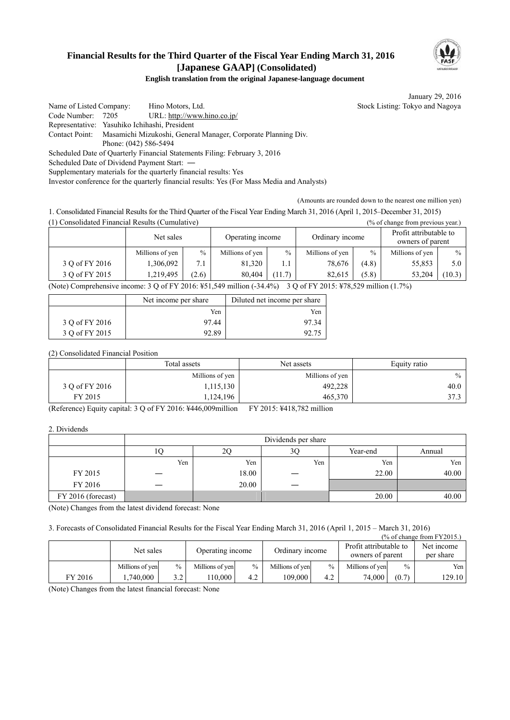# **Financial Results for the Third Quarter of the Fiscal Year Ending March 31, 2016 [Japanese GAAP] (Consolidated)**



### **English translation from the original Japanese-language document**

January 29, 2016

Name of Listed Company: Hino Motors, Ltd. Stock Listing: Tokyo and Nagoya Code Number: 7205 URL: http://www.hino.co.jp/ Representative: Yasuhiko Ichihashi, President Contact Point: Masamichi Mizukoshi, General Manager, Corporate Planning Div. Phone: (042) 586-5494 Scheduled Date of Quarterly Financial Statements Filing: February 3, 2016 Scheduled Date of Dividend Payment Start: Supplementary materials for the quarterly financial results: Yes

Investor conference for the quarterly financial results: Yes (For Mass Media and Analysts)

(Amounts are rounded down to the nearest one million yen)

1. Consolidated Financial Results for the Third Quarter of the Fiscal Year Ending March 31, 2016 (April 1, 2015–December 31, 2015) (1) Consolidated Financial Results (Cumulative) (% of change from previous year.)

|                                                                                                                                                                                                                                                                                                                                                                                                                                                                                           | Net sales       |       | Operating income |        | Ordinary income |       | Profit attributable to<br>owners of parent |        |
|-------------------------------------------------------------------------------------------------------------------------------------------------------------------------------------------------------------------------------------------------------------------------------------------------------------------------------------------------------------------------------------------------------------------------------------------------------------------------------------------|-----------------|-------|------------------|--------|-----------------|-------|--------------------------------------------|--------|
|                                                                                                                                                                                                                                                                                                                                                                                                                                                                                           | Millions of yen | $\%$  | Millions of yen  | $\%$   | Millions of yen | $\%$  | Millions of yen                            | $\%$   |
| 3 Q of FY 2016                                                                                                                                                                                                                                                                                                                                                                                                                                                                            | 1,306,092       | 7.1   | 81.320           |        | 78.676          | (4.8) | 55,853                                     | 5.0    |
| 3 O of FY 2015                                                                                                                                                                                                                                                                                                                                                                                                                                                                            | 1.219.495       | (2.6) | 80.404           | (11.7) | 82.615          | (5.8) | 53.204                                     | (10.3) |
| $20.0$ $\overline{C}$ $\overline{C}$ $\overline{C}$ $\overline{C}$ $\overline{C}$ $\overline{C}$ $\overline{C}$ $\overline{C}$ $\overline{C}$ $\overline{C}$ $\overline{C}$ $\overline{C}$ $\overline{C}$ $\overline{C}$ $\overline{C}$ $\overline{C}$ $\overline{C}$ $\overline{C}$ $\overline{C}$ $\overline{C}$ $\overline{C}$ $\overline{C}$ $\overline{C}$ $\overline{C}$<br>$(1.1)$ $(2.1)$ $(3.1)$ $(1.1)$ $(2.1)$ $(3.1)$ $(2.1)$ $(3.1)$ $(3.1)$ $(4.1)$ $(5.1)$ $(5.1)$ $(6.1)$ |                 |       |                  |        |                 |       |                                            |        |

(Note) Comprehensive income: 3 Q of FY 2016: ¥51,549 million (-34.4%) 3 Q of FY 2015: ¥78,529 million (1.7%)

|                | Net income per share | Diluted net income per share |  |
|----------------|----------------------|------------------------------|--|
|                | Yen                  | Yen                          |  |
| 3 Q of FY 2016 | 97.44                | 97 34                        |  |
| 3 O of FY 2015 | 92.89                | 92.75                        |  |

(2) Consolidated Financial Position

|                | Total assets    | Net assets      |      |
|----------------|-----------------|-----------------|------|
|                | Millions of yen | Millions of yen | $\%$ |
| 3 Q of FY 2016 | 1,115,130       | 492,228         | 40.0 |
| FY 2015        | ,124,196        | 465,370         | 373  |

(Reference) Equity capital: 3 Q of FY 2016: ¥446,009million FY 2015: ¥418,782 million

2. Dividends

|                    | Dividends per share |       |                |          |        |  |
|--------------------|---------------------|-------|----------------|----------|--------|--|
|                    |                     | 20    | 3 <sub>C</sub> | Year-end | Annual |  |
|                    | Yen                 | Yen   | Yen            | Yen      | Yen    |  |
| FY 2015            |                     | 18.00 |                | 22.00    | 40.00  |  |
| FY 2016            |                     | 20.00 |                |          |        |  |
| FY 2016 (forecast) |                     |       |                | 20.00    | 40.00  |  |

(Note) Changes from the latest dividend forecast: None

3. Forecasts of Consolidated Financial Results for the Fiscal Year Ending March 31, 2016 (April 1, 2015 – March 31, 2016)

|         |                 |                               |                 |                 |                 |                                            |                 |                         | $\frac{9}{6}$ of change from FY2015.) |
|---------|-----------------|-------------------------------|-----------------|-----------------|-----------------|--------------------------------------------|-----------------|-------------------------|---------------------------------------|
|         |                 | Net sales<br>Operating income |                 | Ordinary income |                 | Profit attributable to<br>owners of parent |                 | Net income<br>per share |                                       |
|         | Millions of yen | $\%$                          | Millions of yen | $\frac{0}{0}$   | Millions of yen | $\frac{0}{0}$                              | Millions of yen | $\frac{0}{0}$           | Yen                                   |
| FY 2016 | .740.000        | 3.2                           | 110.000         | 4.2             | 109.000         | 4.2                                        | 74.000          | (0.7)                   | 129.10                                |

(Note) Changes from the latest financial forecast: None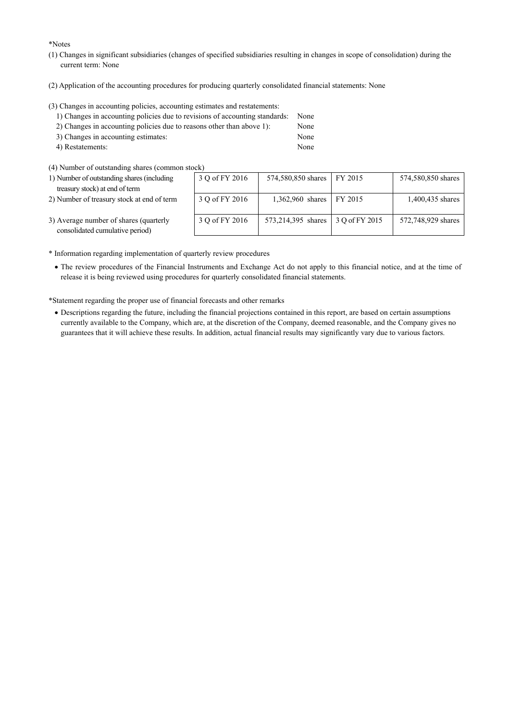\*Notes

- (1) Changes in significant subsidiaries (changes of specified subsidiaries resulting in changes in scope of consolidation) during the current term: None
- (2) Application of the accounting procedures for producing quarterly consolidated financial statements: None

(3) Changes in accounting policies, accounting estimates and restatements:

| 1) Changes in accounting policies due to revisions of accounting standards: | None |
|-----------------------------------------------------------------------------|------|
| 2) Changes in accounting policies due to reasons other than above 1):       | None |
| 3) Changes in accounting estimates:                                         | None |
| 4) Restatements:                                                            | None |

(4) Number of outstanding shares (common stock)

| 1) Number of outstanding shares (including | 3Q |
|--------------------------------------------|----|
| treasury stock) at end of term             |    |

2) Number of treasury stock at end of term

| OCK )          |                    |                |                    |
|----------------|--------------------|----------------|--------------------|
| 3 Q of FY 2016 | 574,580,850 shares | FY 2015        | 574,580,850 shares |
| 3 Q of FY 2016 | 1,362,960 shares   | FY 2015        | 1,400,435 shares   |
| 3 Q of FY 2016 | 573,214,395 shares | 3 O of FY 2015 | 572,748,929 shares |

- 3) Average number of shares (quarterly consolidated cumulative period)
- \* Information regarding implementation of quarterly review procedures
	- The review procedures of the Financial Instruments and Exchange Act do not apply to this financial notice, and at the time of release it is being reviewed using procedures for quarterly consolidated financial statements.

\*Statement regarding the proper use of financial forecasts and other remarks

 Descriptions regarding the future, including the financial projections contained in this report, are based on certain assumptions currently available to the Company, which are, at the discretion of the Company, deemed reasonable, and the Company gives no guarantees that it will achieve these results. In addition, actual financial results may significantly vary due to various factors.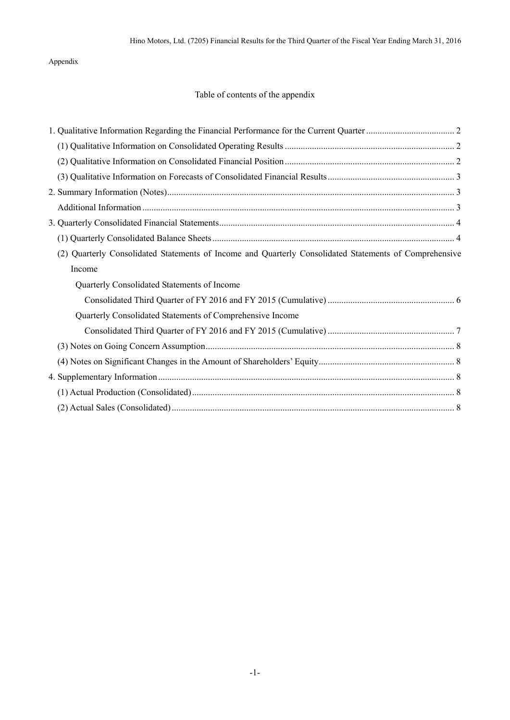Appendix

## Table of contents of the appendix

| Quarterly Consolidated Statements of Income and Quarterly Consolidated Statements of Comprehensive<br>(2) |  |
|-----------------------------------------------------------------------------------------------------------|--|
| Income                                                                                                    |  |
| Quarterly Consolidated Statements of Income                                                               |  |
|                                                                                                           |  |
| Quarterly Consolidated Statements of Comprehensive Income                                                 |  |
|                                                                                                           |  |
|                                                                                                           |  |
|                                                                                                           |  |
|                                                                                                           |  |
|                                                                                                           |  |
|                                                                                                           |  |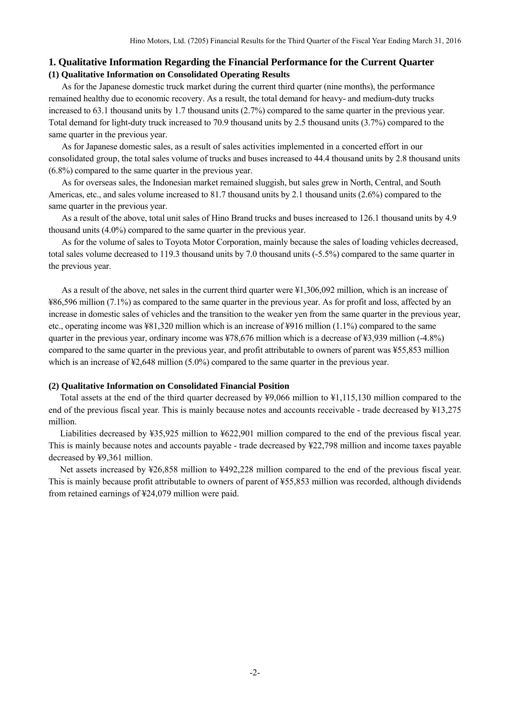### **1. Qualitative Information Regarding the Financial Performance for the Current Quarter (1) Qualitative Information on Consolidated Operating Results**

As for the Japanese domestic truck market during the current third quarter (nine months), the performance remained healthy due to economic recovery. As a result, the total demand for heavy- and medium-duty trucks increased to 63.1 thousand units by 1.7 thousand units (2.7%) compared to the same quarter in the previous year. Total demand for light-duty truck increased to 70.9 thousand units by 2.5 thousand units (3.7%) compared to the same quarter in the previous year.

As for Japanese domestic sales, as a result of sales activities implemented in a concerted effort in our consolidated group, the total sales volume of trucks and buses increased to 44.4 thousand units by 2.8 thousand units (6.8%) compared to the same quarter in the previous year.

As for overseas sales, the Indonesian market remained sluggish, but sales grew in North, Central, and South Americas, etc., and sales volume increased to 81.7 thousand units by 2.1 thousand units (2.6%) compared to the same quarter in the previous year.

As a result of the above, total unit sales of Hino Brand trucks and buses increased to 126.1 thousand units by 4.9 thousand units (4.0%) compared to the same quarter in the previous year.

As for the volume of sales to Toyota Motor Corporation, mainly because the sales of loading vehicles decreased, total sales volume decreased to 119.3 thousand units by 7.0 thousand units (-5.5%) compared to the same quarter in the previous year.

As a result of the above, net sales in the current third quarter were ¥1,306,092 million, which is an increase of ¥86,596 million (7.1%) as compared to the same quarter in the previous year. As for profit and loss, affected by an increase in domestic sales of vehicles and the transition to the weaker yen from the same quarter in the previous year, etc., operating income was ¥81,320 million which is an increase of ¥916 million (1.1%) compared to the same quarter in the previous year, ordinary income was  $478,676$  million which is a decrease of  $43,939$  million (-4.8%) compared to the same quarter in the previous year, and profit attributable to owners of parent was ¥55,853 million which is an increase of  $\frac{42,648}{2}$  million (5.0%) compared to the same quarter in the previous year.

### **(2) Qualitative Information on Consolidated Financial Position**

Total assets at the end of the third quarter decreased by ¥9,066 million to ¥1,115,130 million compared to the end of the previous fiscal year. This is mainly because notes and accounts receivable - trade decreased by ¥13,275 million.

Liabilities decreased by ¥35,925 million to ¥622,901 million compared to the end of the previous fiscal year. This is mainly because notes and accounts payable - trade decreased by ¥22,798 million and income taxes payable decreased by ¥9,361 million.

Net assets increased by ¥26,858 million to ¥492,228 million compared to the end of the previous fiscal year. This is mainly because profit attributable to owners of parent of ¥55,853 million was recorded, although dividends from retained earnings of ¥24,079 million were paid.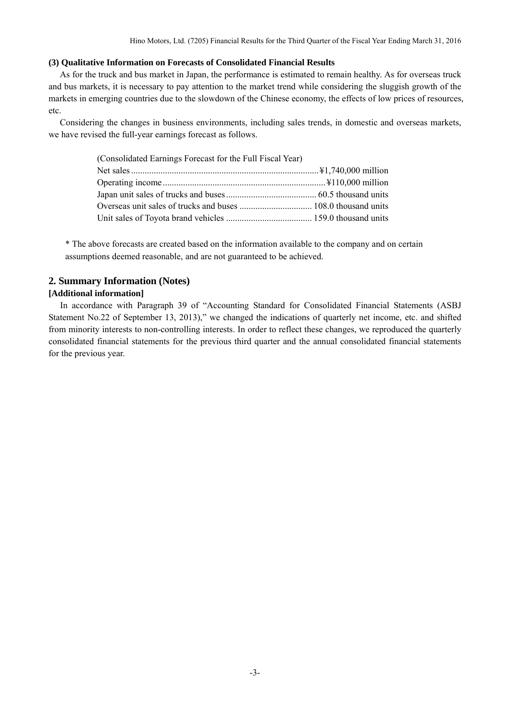### **(3) Qualitative Information on Forecasts of Consolidated Financial Results**

As for the truck and bus market in Japan, the performance is estimated to remain healthy. As for overseas truck and bus markets, it is necessary to pay attention to the market trend while considering the sluggish growth of the markets in emerging countries due to the slowdown of the Chinese economy, the effects of low prices of resources, etc.

Considering the changes in business environments, including sales trends, in domestic and overseas markets, we have revised the full-year earnings forecast as follows.

| (Consolidated Earnings Forecast for the Full Fiscal Year) |  |
|-----------------------------------------------------------|--|
|                                                           |  |
|                                                           |  |
|                                                           |  |
|                                                           |  |
|                                                           |  |

\* The above forecasts are created based on the information available to the company and on certain assumptions deemed reasonable, and are not guaranteed to be achieved.

## **2. Summary Information (Notes)**

### **[Additional information]**

In accordance with Paragraph 39 of "Accounting Standard for Consolidated Financial Statements (ASBJ Statement No.22 of September 13, 2013)," we changed the indications of quarterly net income, etc. and shifted from minority interests to non-controlling interests. In order to reflect these changes, we reproduced the quarterly consolidated financial statements for the previous third quarter and the annual consolidated financial statements for the previous year.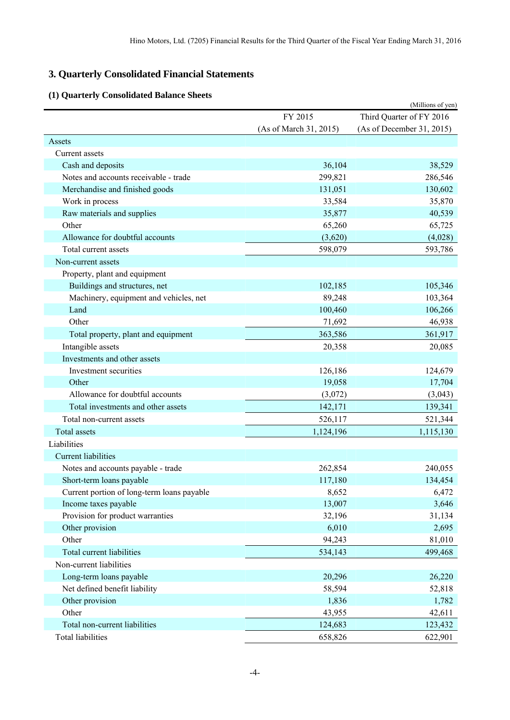# **3. Quarterly Consolidated Financial Statements**

## **(1) Quarterly Consolidated Balance Sheets**

|                                            |                        | (Millions of yen)         |
|--------------------------------------------|------------------------|---------------------------|
|                                            | FY 2015                | Third Quarter of FY 2016  |
|                                            | (As of March 31, 2015) | (As of December 31, 2015) |
| Assets                                     |                        |                           |
| Current assets                             |                        |                           |
| Cash and deposits                          | 36,104                 | 38,529                    |
| Notes and accounts receivable - trade      | 299,821                | 286,546                   |
| Merchandise and finished goods             | 131,051                | 130,602                   |
| Work in process                            | 33,584                 | 35,870                    |
| Raw materials and supplies                 | 35,877                 | 40,539                    |
| Other                                      | 65,260                 | 65,725                    |
| Allowance for doubtful accounts            | (3,620)                | (4,028)                   |
| Total current assets                       | 598,079                | 593,786                   |
| Non-current assets                         |                        |                           |
| Property, plant and equipment              |                        |                           |
| Buildings and structures, net              | 102,185                | 105,346                   |
| Machinery, equipment and vehicles, net     | 89,248                 | 103,364                   |
| Land                                       | 100,460                | 106,266                   |
| Other                                      | 71,692                 | 46,938                    |
| Total property, plant and equipment        | 363,586                | 361,917                   |
| Intangible assets                          | 20,358                 | 20,085                    |
| Investments and other assets               |                        |                           |
| Investment securities                      | 126,186                | 124,679                   |
| Other                                      | 19,058                 | 17,704                    |
| Allowance for doubtful accounts            | (3,072)                | (3,043)                   |
| Total investments and other assets         | 142,171                | 139,341                   |
| Total non-current assets                   | 526,117                | 521,344                   |
| <b>Total assets</b>                        | 1,124,196              | 1,115,130                 |
| Liabilities                                |                        |                           |
| <b>Current liabilities</b>                 |                        |                           |
| Notes and accounts payable - trade         | 262,854                | 240,055                   |
| Short-term loans payable                   | 117,180                | 134,454                   |
| Current portion of long-term loans payable | 8,652                  | 6,472                     |
| Income taxes payable                       | 13,007                 | 3,646                     |
| Provision for product warranties           | 32,196                 | 31,134                    |
| Other provision                            | 6,010                  | 2,695                     |
| Other                                      | 94,243                 | 81,010                    |
| <b>Total current liabilities</b>           | 534,143                | 499,468                   |
| Non-current liabilities                    |                        |                           |
| Long-term loans payable                    | 20,296                 | 26,220                    |
| Net defined benefit liability              | 58,594                 | 52,818                    |
| Other provision                            | 1,836                  | 1,782                     |
| Other                                      | 43,955                 | 42,611                    |
| Total non-current liabilities              | 124,683                | 123,432                   |
| <b>Total liabilities</b>                   | 658,826                | 622,901                   |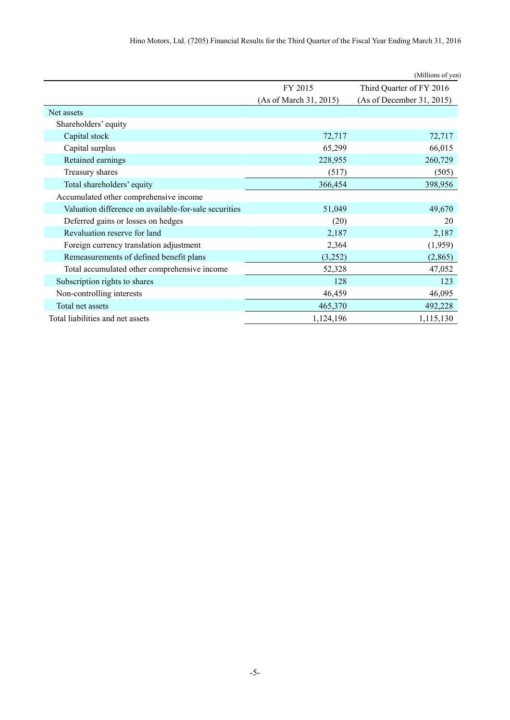|                                                       |                        | (Millions of yen)         |
|-------------------------------------------------------|------------------------|---------------------------|
|                                                       | FY 2015                | Third Quarter of FY 2016  |
|                                                       | (As of March 31, 2015) | (As of December 31, 2015) |
| Net assets                                            |                        |                           |
| Shareholders' equity                                  |                        |                           |
| Capital stock                                         | 72,717                 | 72,717                    |
| Capital surplus                                       | 65,299                 | 66,015                    |
| Retained earnings                                     | 228,955                | 260,729                   |
| Treasury shares                                       | (517)                  | (505)                     |
| Total shareholders' equity                            | 366,454                | 398,956                   |
| Accumulated other comprehensive income                |                        |                           |
| Valuation difference on available-for-sale securities | 51,049                 | 49,670                    |
| Deferred gains or losses on hedges                    | (20)                   | 20                        |
| Revaluation reserve for land                          | 2,187                  | 2,187                     |
| Foreign currency translation adjustment               | 2,364                  | (1,959)                   |
| Remeasurements of defined benefit plans               | (3,252)                | (2,865)                   |
| Total accumulated other comprehensive income          | 52,328                 | 47,052                    |
| Subscription rights to shares                         | 128                    | 123                       |
| Non-controlling interests                             | 46,459                 | 46,095                    |
| Total net assets                                      | 465,370                | 492,228                   |
| Total liabilities and net assets                      | 1,124,196              | 1,115,130                 |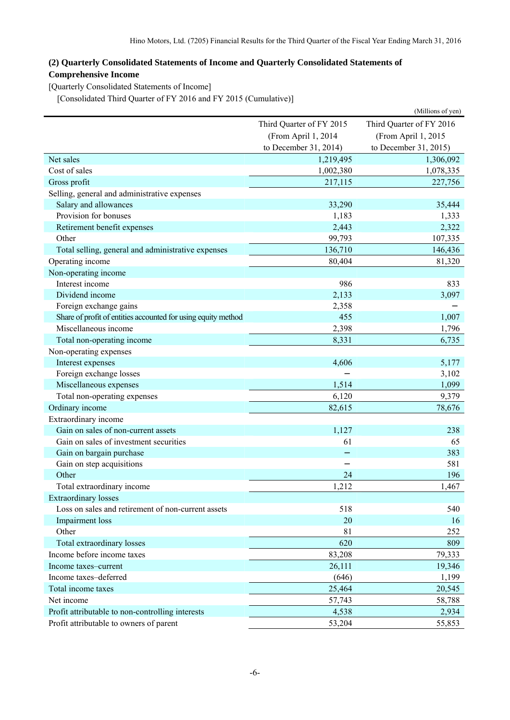## **(2) Quarterly Consolidated Statements of Income and Quarterly Consolidated Statements of Comprehensive Income**

[Quarterly Consolidated Statements of Income]

[Consolidated Third Quarter of FY 2016 and FY 2015 (Cumulative)]

|                                                               |                          | (Millions of yen)        |  |
|---------------------------------------------------------------|--------------------------|--------------------------|--|
|                                                               | Third Quarter of FY 2015 | Third Quarter of FY 2016 |  |
|                                                               | (From April 1, 2014      | (From April 1, 2015      |  |
|                                                               | to December 31, 2014)    | to December 31, 2015)    |  |
| Net sales                                                     | 1,219,495                | 1,306,092                |  |
| Cost of sales                                                 | 1,002,380                | 1,078,335                |  |
| Gross profit                                                  | 217,115                  | 227,756                  |  |
| Selling, general and administrative expenses                  |                          |                          |  |
| Salary and allowances                                         | 33,290                   | 35,444                   |  |
| Provision for bonuses                                         | 1,183                    | 1,333                    |  |
| Retirement benefit expenses                                   | 2,443                    | 2,322                    |  |
| Other                                                         | 99,793                   | 107,335                  |  |
| Total selling, general and administrative expenses            | 136,710                  | 146,436                  |  |
| Operating income                                              | 80,404                   | 81,320                   |  |
| Non-operating income                                          |                          |                          |  |
| Interest income                                               | 986                      | 833                      |  |
| Dividend income                                               | 2,133                    | 3,097                    |  |
| Foreign exchange gains                                        | 2,358                    |                          |  |
| Share of profit of entities accounted for using equity method | 455                      | 1,007                    |  |
| Miscellaneous income                                          | 2,398                    | 1,796                    |  |
| Total non-operating income                                    | 8,331                    | 6,735                    |  |
| Non-operating expenses                                        |                          |                          |  |
| Interest expenses                                             | 4,606                    | 5,177                    |  |
| Foreign exchange losses                                       |                          | 3,102                    |  |
| Miscellaneous expenses                                        | 1,514                    | 1,099                    |  |
| Total non-operating expenses                                  | 6,120                    | 9,379                    |  |
| Ordinary income                                               | 82,615                   | 78,676                   |  |
| Extraordinary income                                          |                          |                          |  |
| Gain on sales of non-current assets                           | 1,127                    | 238                      |  |
| Gain on sales of investment securities                        | 61                       | 65                       |  |
| Gain on bargain purchase                                      |                          | 383                      |  |
| Gain on step acquisitions                                     |                          | 581                      |  |
| Other                                                         | 24                       | 196                      |  |
| Total extraordinary income                                    | 1,212                    | 1,467                    |  |
| <b>Extraordinary losses</b>                                   |                          |                          |  |
| Loss on sales and retirement of non-current assets            | 518                      | 540                      |  |
| Impairment loss                                               | 20                       | 16                       |  |
| Other                                                         | 81                       | 252                      |  |
| Total extraordinary losses                                    | 620                      | 809                      |  |
| Income before income taxes                                    | 83,208                   | 79,333                   |  |
| Income taxes-current                                          | 26,111                   | 19,346                   |  |
| Income taxes-deferred                                         | (646)                    | 1,199                    |  |
| Total income taxes                                            | 25,464                   | 20,545                   |  |
| Net income                                                    | 57,743                   | 58,788                   |  |
| Profit attributable to non-controlling interests              | 4,538                    | 2,934                    |  |
| Profit attributable to owners of parent                       | 53,204                   | 55,853                   |  |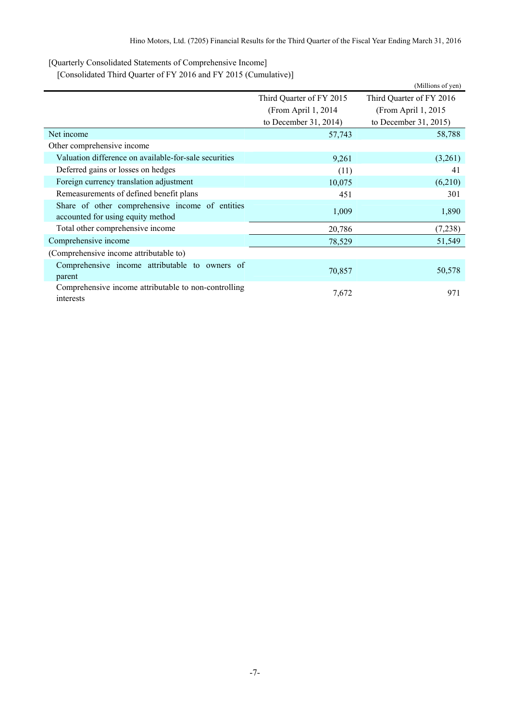[Quarterly Consolidated Statements of Comprehensive Income]

[Consolidated Third Quarter of FY 2016 and FY 2015 (Cumulative)]

|                                                                                      |                          | (Millions of yen)        |
|--------------------------------------------------------------------------------------|--------------------------|--------------------------|
|                                                                                      | Third Quarter of FY 2015 | Third Quarter of FY 2016 |
|                                                                                      | (From April 1, 2014)     | (From April 1, 2015)     |
|                                                                                      | to December 31, 2014)    | to December 31, 2015)    |
| Net income                                                                           | 57,743                   | 58,788                   |
| Other comprehensive income                                                           |                          |                          |
| Valuation difference on available-for-sale securities                                | 9,261                    | (3,261)                  |
| Deferred gains or losses on hedges                                                   | (11)                     | 41                       |
| Foreign currency translation adjustment                                              | 10,075                   | (6,210)                  |
| Remeasurements of defined benefit plans                                              | 451                      | 301                      |
| Share of other comprehensive income of entities<br>accounted for using equity method | 1,009                    | 1,890                    |
| Total other comprehensive income                                                     | 20,786                   | (7,238)                  |
| Comprehensive income                                                                 | 78,529                   | 51,549                   |
| (Comprehensive income attributable to)                                               |                          |                          |
| Comprehensive income attributable to owners of<br>parent                             | 70,857                   | 50,578                   |
| Comprehensive income attributable to non-controlling<br>interests                    | 7,672                    | 971                      |